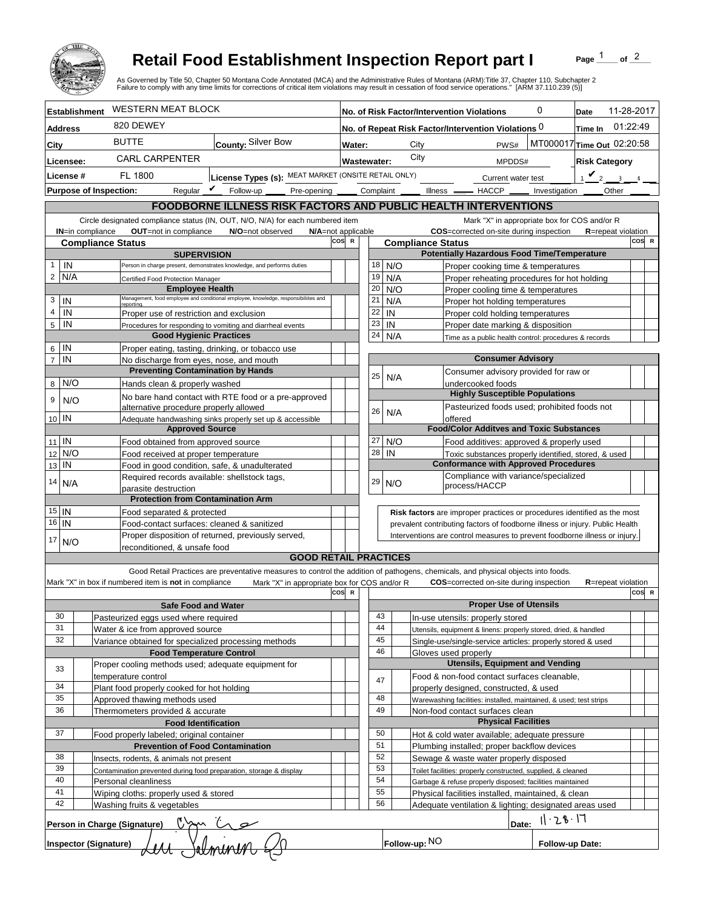

## **Retail Food Establishment Inspection Report part I**

Page  $\frac{1}{1}$  of  $\frac{2}{1}$ 

|                            |                                               |                                                                                | <b>Retail Food Establishment Inspection Report part I</b><br>As Governed by Title 50, Chapter 50 Montana Code Annotated (MCA) and the Administrative Rules of Montana (ARM):Title 37, Chapter 110, Subchapter 2<br>Failure to comply with any time limits for corrections of critical item violations may result in cessation of food service operations." [ARM 37.110.239 (5)] |                                |             |          |                                             |                                                                                    |                    |                 | Page                                         | of $^2$    |       |
|----------------------------|-----------------------------------------------|--------------------------------------------------------------------------------|---------------------------------------------------------------------------------------------------------------------------------------------------------------------------------------------------------------------------------------------------------------------------------------------------------------------------------------------------------------------------------|--------------------------------|-------------|----------|---------------------------------------------|------------------------------------------------------------------------------------|--------------------|-----------------|----------------------------------------------|------------|-------|
|                            | <b>Establishment</b>                          | <b>WESTERN MEAT BLOCK</b>                                                      |                                                                                                                                                                                                                                                                                                                                                                                 |                                |             |          |                                             | No. of Risk Factor/Intervention Violations                                         |                    | 0               | Date                                         | 11-28-2017 |       |
| <b>Address</b>             |                                               | 820 DEWEY                                                                      |                                                                                                                                                                                                                                                                                                                                                                                 |                                |             |          |                                             | No. of Repeat Risk Factor/Intervention Violations 0                                |                    |                 | Time In 01:22:49                             |            |       |
| City                       |                                               | <b>BUTTE</b>                                                                   | County: Silver Bow                                                                                                                                                                                                                                                                                                                                                              |                                | Water:      |          | City                                        |                                                                                    | PWS#               |                 | MT000017 Time Out 02:20:58                   |            |       |
|                            |                                               | <b>CARL CARPENTER</b>                                                          |                                                                                                                                                                                                                                                                                                                                                                                 |                                |             |          | City                                        |                                                                                    |                    |                 |                                              |            |       |
|                            | Licensee:                                     |                                                                                |                                                                                                                                                                                                                                                                                                                                                                                 |                                | Wastewater: |          |                                             |                                                                                    | MPDDS#             |                 | <b>Risk Category</b>                         |            |       |
|                            | License #                                     | FL 1800                                                                        | License Types (s): MEAT MARKET (ONSITE RETAIL ONLY)                                                                                                                                                                                                                                                                                                                             |                                |             |          |                                             |                                                                                    | Current water test |                 | $1$ $\vee$ 2<br>$\overline{\mathbf{3}}$      |            |       |
|                            | <b>Purpose of Inspection:</b>                 |                                                                                | Reqular $\boldsymbol{V}$<br>Follow-up                                                                                                                                                                                                                                                                                                                                           |                                |             |          |                                             | Pre-opening ______ Complaint ______ Illness _______ HACCP ______ Investigation     |                    |                 | Other                                        |            |       |
|                            |                                               |                                                                                | FOODBORNE ILLNESS RISK FACTORS AND PUBLIC HEALTH INTERVENTIONS                                                                                                                                                                                                                                                                                                                  |                                |             |          |                                             |                                                                                    |                    |                 |                                              |            |       |
|                            |                                               | Circle designated compliance status (IN, OUT, N/O, N/A) for each numbered item |                                                                                                                                                                                                                                                                                                                                                                                 |                                |             |          |                                             |                                                                                    |                    |                 | Mark "X" in appropriate box for COS and/or R |            |       |
|                            | IN=in compliance                              | OUT=not in compliance<br>N/O=not observed<br>N/A=not applicable                |                                                                                                                                                                                                                                                                                                                                                                                 |                                |             |          |                                             | COS=corrected on-site during inspection                                            |                    |                 | <b>R</b> =repeat violation                   |            |       |
|                            | <b>Compliance Status</b>                      |                                                                                |                                                                                                                                                                                                                                                                                                                                                                                 | cos<br>$\mathbf R$             |             |          | <b>Compliance Status</b>                    | <b>Potentially Hazardous Food Time/Temperature</b>                                 |                    |                 |                                              |            | COS R |
|                            | IN                                            |                                                                                | <b>SUPERVISION</b><br>Person in charge present, demonstrates knowledge, and performs duties                                                                                                                                                                                                                                                                                     |                                | 18          |          | N/O                                         | Proper cooking time & temperatures                                                 |                    |                 |                                              |            |       |
| $2$ N/A                    | Certified Food Protection Manager             |                                                                                |                                                                                                                                                                                                                                                                                                                                                                                 | 19                             | N/A         |          |                                             | Proper reheating procedures for hot holding                                        |                    |                 |                                              |            |       |
|                            |                                               |                                                                                | <b>Employee Health</b>                                                                                                                                                                                                                                                                                                                                                          |                                | 20          |          | N/O                                         | Proper cooling time & temperatures                                                 |                    |                 |                                              |            |       |
| 3                          | IN                                            | reporting                                                                      | Management, food employee and conditional employee, knowledge, responsibiliites and                                                                                                                                                                                                                                                                                             |                                | 21          |          | N/A                                         | Proper hot holding temperatures                                                    |                    |                 |                                              |            |       |
| 4                          | IN                                            |                                                                                | Proper use of restriction and exclusion                                                                                                                                                                                                                                                                                                                                         |                                | 22          |          | IN                                          | Proper cold holding temperatures                                                   |                    |                 |                                              |            |       |
| 5                          | IN                                            |                                                                                | Procedures for responding to vomiting and diarrheal events                                                                                                                                                                                                                                                                                                                      |                                | 23          |          | IN                                          | Proper date marking & disposition                                                  |                    |                 |                                              |            |       |
|                            |                                               |                                                                                | <b>Good Hygienic Practices</b>                                                                                                                                                                                                                                                                                                                                                  |                                | 24          |          | N/A                                         | Time as a public health control: procedures & records                              |                    |                 |                                              |            |       |
| $6$ IN                     |                                               |                                                                                | Proper eating, tasting, drinking, or tobacco use                                                                                                                                                                                                                                                                                                                                |                                |             |          |                                             |                                                                                    |                    |                 |                                              |            |       |
| $\overline{7}$             | IN                                            |                                                                                | No discharge from eyes, nose, and mouth                                                                                                                                                                                                                                                                                                                                         |                                |             |          |                                             | <b>Consumer Advisory</b>                                                           |                    |                 |                                              |            |       |
|                            |                                               |                                                                                | <b>Preventing Contamination by Hands</b>                                                                                                                                                                                                                                                                                                                                        |                                | 25          |          | N/A                                         | Consumer advisory provided for raw or                                              |                    |                 |                                              |            |       |
|                            | 8 N/O                                         | Hands clean & properly washed                                                  |                                                                                                                                                                                                                                                                                                                                                                                 |                                |             |          |                                             | undercooked foods<br><b>Highly Susceptible Populations</b>                         |                    |                 |                                              |            |       |
| 9                          | N/O                                           |                                                                                | No bare hand contact with RTE food or a pre-approved<br>alternative procedure properly allowed                                                                                                                                                                                                                                                                                  |                                |             |          |                                             | Pasteurized foods used; prohibited foods not                                       |                    |                 |                                              |            |       |
| $10$ IN                    |                                               |                                                                                | Adequate handwashing sinks properly set up & accessible                                                                                                                                                                                                                                                                                                                         |                                | 26          |          | N/A                                         | offered                                                                            |                    |                 |                                              |            |       |
|                            |                                               |                                                                                | <b>Approved Source</b>                                                                                                                                                                                                                                                                                                                                                          |                                |             |          |                                             | <b>Food/Color Additves and Toxic Substances</b>                                    |                    |                 |                                              |            |       |
| $11$ IN                    |                                               |                                                                                | Food obtained from approved source                                                                                                                                                                                                                                                                                                                                              |                                | 27          |          | N/O                                         | Food additives: approved & properly used                                           |                    |                 |                                              |            |       |
| 12                         | N/O                                           |                                                                                | Food received at proper temperature                                                                                                                                                                                                                                                                                                                                             |                                | 28          |          | IN                                          | Toxic substances properly identified, stored, & used                               |                    |                 |                                              |            |       |
| 13 IN                      |                                               |                                                                                | Food in good condition, safe, & unadulterated                                                                                                                                                                                                                                                                                                                                   |                                |             |          |                                             | <b>Conformance with Approved Procedures</b>                                        |                    |                 |                                              |            |       |
| 14                         | N/A                                           |                                                                                | Required records available: shellstock tags,                                                                                                                                                                                                                                                                                                                                    |                                | 29          |          | N/O                                         | Compliance with variance/specialized<br>process/HACCP                              |                    |                 |                                              |            |       |
|                            |                                               | parasite destruction                                                           | <b>Protection from Contamination Arm</b>                                                                                                                                                                                                                                                                                                                                        |                                |             |          |                                             |                                                                                    |                    |                 |                                              |            |       |
| $15$   IN                  |                                               | Food separated & protected                                                     |                                                                                                                                                                                                                                                                                                                                                                                 |                                |             |          |                                             | Risk factors are improper practices or procedures identified as the most           |                    |                 |                                              |            |       |
| $16$ IN                    |                                               |                                                                                | Food-contact surfaces: cleaned & sanitized                                                                                                                                                                                                                                                                                                                                      |                                |             |          |                                             | prevalent contributing factors of foodborne illness or injury. Public Health       |                    |                 |                                              |            |       |
|                            |                                               |                                                                                | Proper disposition of returned, previously served,                                                                                                                                                                                                                                                                                                                              |                                |             |          |                                             | Interventions are control measures to prevent foodborne illness or injury.         |                    |                 |                                              |            |       |
| 17                         | N/O                                           | reconditioned, & unsafe food                                                   |                                                                                                                                                                                                                                                                                                                                                                                 |                                |             |          |                                             |                                                                                    |                    |                 |                                              |            |       |
|                            |                                               |                                                                                | <b>GOOD RETAIL PRACTICES</b>                                                                                                                                                                                                                                                                                                                                                    |                                |             |          |                                             |                                                                                    |                    |                 |                                              |            |       |
|                            |                                               |                                                                                | Good Retail Practices are preventative measures to control the addition of pathogens, chemicals, and physical objects into foods.                                                                                                                                                                                                                                               |                                |             |          |                                             |                                                                                    |                    |                 |                                              |            |       |
|                            |                                               | Mark "X" in box if numbered item is not in compliance                          | Mark "X" in appropriate box for COS and/or R                                                                                                                                                                                                                                                                                                                                    |                                |             |          |                                             | <b>COS</b> =corrected on-site during inspection                                    |                    |                 | <b>R</b> =repeat violation                   |            |       |
|                            |                                               |                                                                                |                                                                                                                                                                                                                                                                                                                                                                                 | cos<br>$\overline{\mathbf{R}}$ |             |          |                                             |                                                                                    |                    |                 |                                              |            | COS R |
|                            |                                               |                                                                                | <b>Safe Food and Water</b>                                                                                                                                                                                                                                                                                                                                                      |                                |             |          |                                             | <b>Proper Use of Utensils</b>                                                      |                    |                 |                                              |            |       |
| 30<br>31                   |                                               | Pasteurized eggs used where required                                           |                                                                                                                                                                                                                                                                                                                                                                                 |                                |             | 43<br>44 |                                             | In-use utensils: properly stored                                                   |                    |                 |                                              |            |       |
| 32                         |                                               | Water & ice from approved source                                               |                                                                                                                                                                                                                                                                                                                                                                                 |                                |             | 45       |                                             | Utensils, equipment & linens: properly stored, dried, & handled                    |                    |                 |                                              |            |       |
|                            |                                               |                                                                                | Variance obtained for specialized processing methods<br><b>Food Temperature Control</b>                                                                                                                                                                                                                                                                                         |                                |             | 46       |                                             | Single-use/single-service articles: properly stored & used<br>Gloves used properly |                    |                 |                                              |            |       |
|                            |                                               |                                                                                | Proper cooling methods used; adequate equipment for                                                                                                                                                                                                                                                                                                                             |                                |             |          |                                             | <b>Utensils, Equipment and Vending</b>                                             |                    |                 |                                              |            |       |
| 33                         |                                               | temperature control                                                            |                                                                                                                                                                                                                                                                                                                                                                                 |                                |             |          |                                             | Food & non-food contact surfaces cleanable,                                        |                    |                 |                                              |            |       |
| 34                         |                                               | Plant food properly cooked for hot holding                                     |                                                                                                                                                                                                                                                                                                                                                                                 |                                |             | 47       |                                             | properly designed, constructed, & used                                             |                    |                 |                                              |            |       |
| 35                         |                                               | Approved thawing methods used                                                  |                                                                                                                                                                                                                                                                                                                                                                                 |                                |             | 48       |                                             | Warewashing facilities: installed, maintained, & used; test strips                 |                    |                 |                                              |            |       |
| 36                         | Thermometers provided & accurate              |                                                                                |                                                                                                                                                                                                                                                                                                                                                                                 |                                | 49          |          | Non-food contact surfaces clean             |                                                                                    |                    |                 |                                              |            |       |
| <b>Food Identification</b> |                                               |                                                                                |                                                                                                                                                                                                                                                                                                                                                                                 |                                |             |          |                                             | <b>Physical Facilities</b>                                                         |                    |                 |                                              |            |       |
| 37                         |                                               | Food properly labeled; original container                                      |                                                                                                                                                                                                                                                                                                                                                                                 |                                |             | 50       |                                             | Hot & cold water available; adequate pressure                                      |                    |                 |                                              |            |       |
|                            |                                               | <b>Prevention of Food Contamination</b>                                        |                                                                                                                                                                                                                                                                                                                                                                                 |                                |             | 51       | Plumbing installed; proper backflow devices |                                                                                    |                    |                 |                                              |            |       |
|                            | 38<br>Insects, rodents, & animals not present |                                                                                |                                                                                                                                                                                                                                                                                                                                                                                 |                                |             | 52       |                                             | Sewage & waste water properly disposed                                             |                    |                 |                                              |            |       |
| 39                         |                                               | Contamination prevented during food preparation, storage & display             |                                                                                                                                                                                                                                                                                                                                                                                 |                                |             | 53       |                                             | Toilet facilities: properly constructed, supplied, & cleaned                       |                    |                 |                                              |            |       |
| 40<br>41                   |                                               | Personal cleanliness                                                           |                                                                                                                                                                                                                                                                                                                                                                                 |                                |             | 54<br>55 |                                             | Garbage & refuse properly disposed; facilities maintained                          |                    |                 |                                              |            |       |
| 42                         |                                               | Wiping cloths: properly used & stored<br>Washing fruits & vegetables           |                                                                                                                                                                                                                                                                                                                                                                                 |                                |             | 56       |                                             | Physical facilities installed, maintained, & clean                                 |                    |                 |                                              |            |       |
|                            |                                               | Person in Charge (Signature)                                                   |                                                                                                                                                                                                                                                                                                                                                                                 |                                |             |          |                                             | Adequate ventilation & lighting; designated areas used                             | Date:              | 11.28.17        |                                              |            |       |
|                            | <b>Inspector (Signature)</b>                  |                                                                                |                                                                                                                                                                                                                                                                                                                                                                                 |                                |             |          | Follow-up: NO                               |                                                                                    |                    | Follow-up Date: |                                              |            |       |
|                            |                                               |                                                                                |                                                                                                                                                                                                                                                                                                                                                                                 |                                |             |          |                                             |                                                                                    |                    |                 |                                              |            |       |